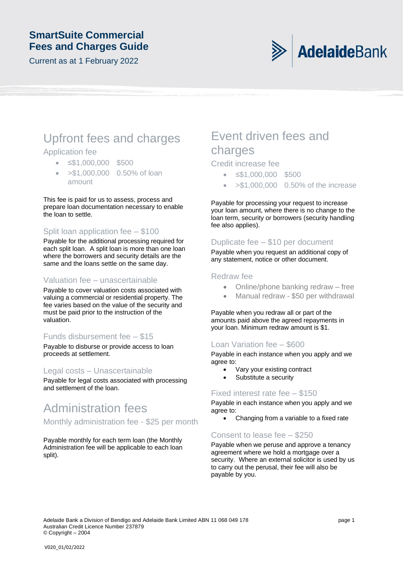### **SmartSuite Commercial Fees and Charges Guide**

Current as at 1 February 2022



# Upfront fees and charges

### Application fee

- ≤\$1,000,000 \$500
- >\$1,000,000 0.50% of loan amount

This fee is paid for us to assess, process and prepare loan documentation necessary to enable the loan to settle.

### Split loan application fee – \$100

Payable for the additional processing required for each split loan. A split loan is more than one loan where the borrowers and security details are the same and the loans settle on the same day.

### Valuation fee – unascertainable

Payable to cover valuation costs associated with valuing a commercial or residential property. The fee varies based on the value of the security and must be paid prior to the instruction of the valuation.

### Funds disbursement fee – \$15

Payable to disburse or provide access to loan proceeds at settlement.

### Legal costs – Unascertainable

Payable for legal costs associated with processing and settlement of the loan.

# Administration fees

Monthly administration fee - \$25 per month

Payable monthly for each term loan (the Monthly Administration fee will be applicable to each loan split).

## Event driven fees and charges

### Credit increase fee

- ≤\$1,000,000 \$500
- >\$1,000,000 0.50% of the increase

Payable for processing your request to increase your loan amount, where there is no change to the loan term, security or borrowers (security handling fee also applies).

### Duplicate fee – \$10 per document

Payable when you request an additional copy of any statement, notice or other document.

### Redraw fee

- Online/phone banking redraw free
- Manual redraw \$50 per withdrawal

Payable when you redraw all or part of the amounts paid above the agreed repayments in your loan. Minimum redraw amount is \$1.

### Loan Variation fee – \$600

Payable in each instance when you apply and we agree to:

- Vary your existing contract
- Substitute a security

### Fixed interest rate fee – \$150

Payable in each instance when you apply and we agree to:

• Changing from a variable to a fixed rate

### Consent to lease fee – \$250

Payable when we peruse and approve a tenancy agreement where we hold a mortgage over a security. Where an external solicitor is used by us to carry out the perusal, their fee will also be payable by you.